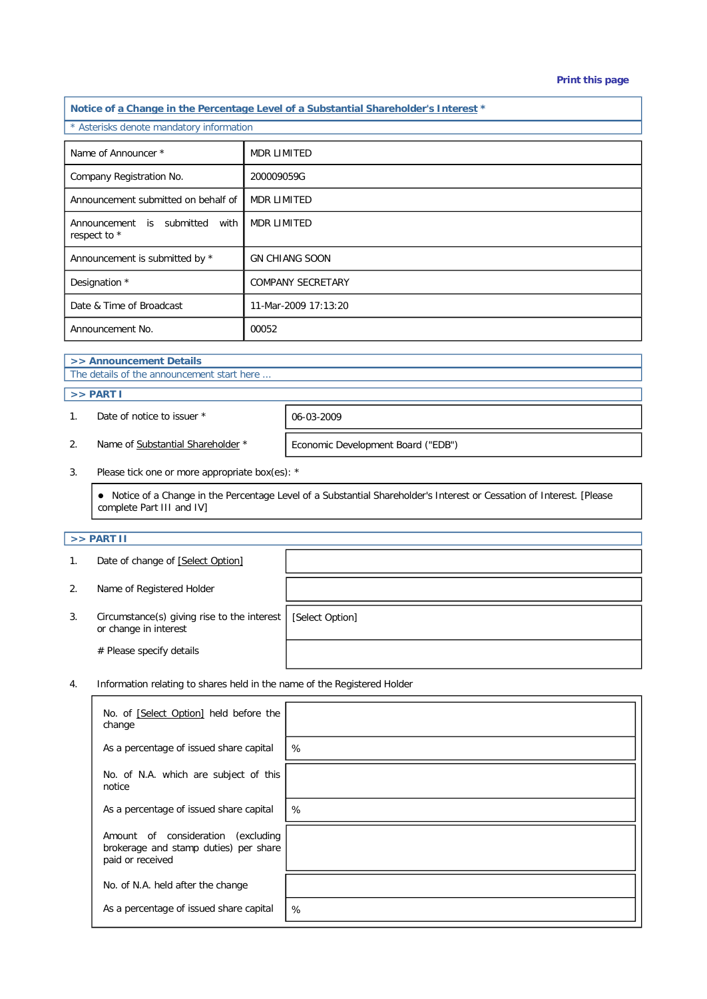#### **Print this page**

**Notice of a Change in the Percentage Level of a Substantial Shareholder's Interest \*** \* Asterisks denote mandatory information Name of Announcer \* MDR LIMITED Company Registration No. 200009059G Announcement submitted on behalf of MDR LIMITED Announcement is submitted with respect to \* MDR LIMITED Announcement is submitted by \* GN CHIANG SOON Designation \* COMPANY SECRETARY Date & Time of Broadcast 11-Mar-2009 17:13:20 Announcement No. 100052

# **>> Announcement Details**

The details of the announcement start here ...

## **>> PART I**

1. Date of notice to issuer \* 06-03-2009

2. Name of Substantial Shareholder \* Economic Development Board ("EDB")

3. Please tick one or more appropriate box(es): \*

 Notice of a Change in the Percentage Level of a Substantial Shareholder's Interest or Cessation of Interest. [Please complete Part III and IV]

## **>> PART II**

|    | Date of change of [Select Option]                                    |                 |
|----|----------------------------------------------------------------------|-----------------|
| 2. | Name of Registered Holder                                            |                 |
| 3. | Circumstance(s) giving rise to the interest<br>or change in interest | [Select Option] |
|    | # Please specify details                                             |                 |

4. Information relating to shares held in the name of the Registered Holder

| No. of [Select Option] held before the<br>change                                                   |   |
|----------------------------------------------------------------------------------------------------|---|
| As a percentage of issued share capital                                                            | % |
| No. of N.A. which are subject of this<br>notice                                                    |   |
| As a percentage of issued share capital                                                            | % |
| Amount of consideration<br>(excluding<br>brokerage and stamp duties) per share<br>paid or received |   |
| No. of N.A. held after the change                                                                  |   |
| As a percentage of issued share capital                                                            | % |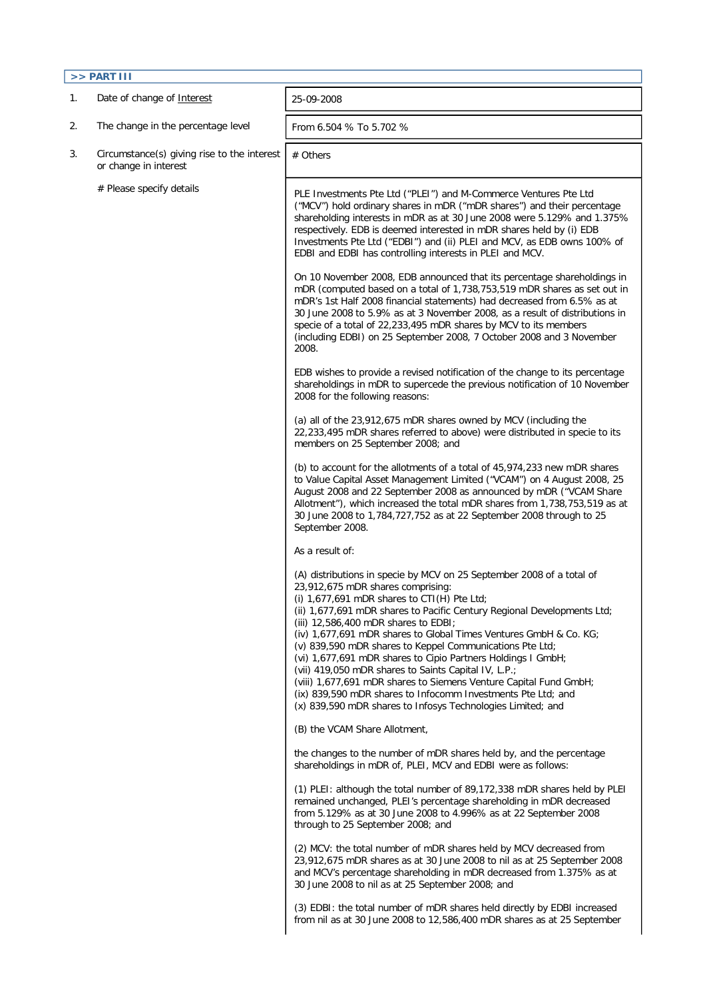| $>>$ PART III |                                                                      |                                                                                                                                                                                                                                                                                                                                                                                                                                                                                                                                                                                                                                                                                                                                             |  |  |  |  |
|---------------|----------------------------------------------------------------------|---------------------------------------------------------------------------------------------------------------------------------------------------------------------------------------------------------------------------------------------------------------------------------------------------------------------------------------------------------------------------------------------------------------------------------------------------------------------------------------------------------------------------------------------------------------------------------------------------------------------------------------------------------------------------------------------------------------------------------------------|--|--|--|--|
| 1.            | Date of change of Interest                                           | 25-09-2008                                                                                                                                                                                                                                                                                                                                                                                                                                                                                                                                                                                                                                                                                                                                  |  |  |  |  |
| 2.            | The change in the percentage level                                   | From 6.504 % To 5.702 %                                                                                                                                                                                                                                                                                                                                                                                                                                                                                                                                                                                                                                                                                                                     |  |  |  |  |
| 3.            | Circumstance(s) giving rise to the interest<br>or change in interest | # Others                                                                                                                                                                                                                                                                                                                                                                                                                                                                                                                                                                                                                                                                                                                                    |  |  |  |  |
|               | # Please specify details                                             | PLE Investments Pte Ltd ("PLEI") and M-Commerce Ventures Pte Ltd<br>("MCV") hold ordinary shares in mDR ("mDR shares") and their percentage<br>shareholding interests in mDR as at 30 June 2008 were 5.129% and 1.375%<br>respectively. EDB is deemed interested in mDR shares held by (i) EDB<br>Investments Pte Ltd ("EDBI") and (ii) PLEI and MCV, as EDB owns 100% of<br>EDBI and EDBI has controlling interests in PLEI and MCV.                                                                                                                                                                                                                                                                                                       |  |  |  |  |
|               |                                                                      | On 10 November 2008, EDB announced that its percentage shareholdings in<br>mDR (computed based on a total of 1,738,753,519 mDR shares as set out in<br>mDR's 1st Half 2008 financial statements) had decreased from 6.5% as at<br>30 June 2008 to 5.9% as at 3 November 2008, as a result of distributions in<br>specie of a total of 22,233,495 mDR shares by MCV to its members<br>(including EDBI) on 25 September 2008, 7 October 2008 and 3 November<br>2008.                                                                                                                                                                                                                                                                          |  |  |  |  |
|               |                                                                      | EDB wishes to provide a revised notification of the change to its percentage<br>shareholdings in mDR to supercede the previous notification of 10 November<br>2008 for the following reasons:                                                                                                                                                                                                                                                                                                                                                                                                                                                                                                                                               |  |  |  |  |
|               |                                                                      | (a) all of the 23,912,675 mDR shares owned by MCV (including the<br>22,233,495 mDR shares referred to above) were distributed in specie to its<br>members on 25 September 2008; and                                                                                                                                                                                                                                                                                                                                                                                                                                                                                                                                                         |  |  |  |  |
|               |                                                                      | (b) to account for the allotments of a total of 45,974,233 new mDR shares<br>to Value Capital Asset Management Limited ("VCAM") on 4 August 2008, 25<br>August 2008 and 22 September 2008 as announced by mDR ("VCAM Share<br>Allotment"), which increased the total mDR shares from 1,738,753,519 as at<br>30 June 2008 to 1,784,727,752 as at 22 September 2008 through to 25<br>September 2008.                                                                                                                                                                                                                                                                                                                                          |  |  |  |  |
|               |                                                                      | As a result of:                                                                                                                                                                                                                                                                                                                                                                                                                                                                                                                                                                                                                                                                                                                             |  |  |  |  |
|               |                                                                      | (A) distributions in specie by MCV on 25 September 2008 of a total of<br>23,912,675 mDR shares comprising:<br>(i) $1,677,691$ mDR shares to CTI(H) Pte Ltd;<br>(ii) 1,677,691 mDR shares to Pacific Century Regional Developments Ltd;<br>(iii) 12,586,400 mDR shares to EDBI;<br>(iv) 1,677,691 mDR shares to Global Times Ventures GmbH & Co. KG;<br>(v) 839,590 mDR shares to Keppel Communications Pte Ltd;<br>(vi) 1,677,691 mDR shares to Cipio Partners Holdings I GmbH;<br>(vii) 419,050 mDR shares to Saints Capital IV, L.P.;<br>(viii) 1,677,691 mDR shares to Siemens Venture Capital Fund GmbH;<br>(ix) 839,590 mDR shares to Infocomm Investments Pte Ltd; and<br>(x) 839,590 mDR shares to Infosys Technologies Limited; and |  |  |  |  |
|               |                                                                      | (B) the VCAM Share Allotment,                                                                                                                                                                                                                                                                                                                                                                                                                                                                                                                                                                                                                                                                                                               |  |  |  |  |
|               |                                                                      | the changes to the number of mDR shares held by, and the percentage<br>shareholdings in mDR of, PLEI, MCV and EDBI were as follows:                                                                                                                                                                                                                                                                                                                                                                                                                                                                                                                                                                                                         |  |  |  |  |
|               |                                                                      | (1) PLEI: although the total number of 89,172,338 mDR shares held by PLEI<br>remained unchanged, PLEI's percentage shareholding in mDR decreased<br>from 5.129% as at 30 June 2008 to 4.996% as at 22 September 2008<br>through to 25 September 2008; and                                                                                                                                                                                                                                                                                                                                                                                                                                                                                   |  |  |  |  |
|               |                                                                      | (2) MCV: the total number of mDR shares held by MCV decreased from<br>23,912,675 mDR shares as at 30 June 2008 to nil as at 25 September 2008<br>and MCV's percentage shareholding in mDR decreased from 1.375% as at<br>30 June 2008 to nil as at 25 September 2008; and                                                                                                                                                                                                                                                                                                                                                                                                                                                                   |  |  |  |  |
|               |                                                                      | (3) EDBI: the total number of mDR shares held directly by EDBI increased<br>from nil as at 30 June 2008 to 12,586,400 mDR shares as at 25 September                                                                                                                                                                                                                                                                                                                                                                                                                                                                                                                                                                                         |  |  |  |  |